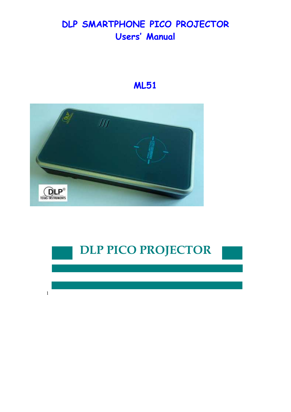# **DLP SMARTPHONE PICO PROJECTOR Users' Manual**

# **ML51**



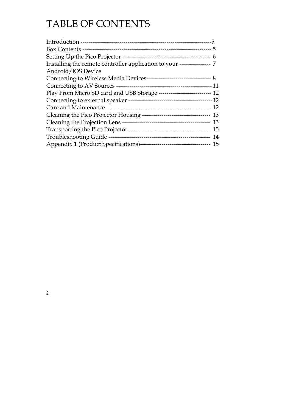# TABLE OF CONTENTS

| Installing the remote controller application to your ----------------- 7  |  |
|---------------------------------------------------------------------------|--|
| Android/IOS Device                                                        |  |
|                                                                           |  |
|                                                                           |  |
| Play From Micro SD card and USB Storage --------------------------- 12    |  |
|                                                                           |  |
|                                                                           |  |
| Cleaning the Pico Projector Housing --------------------------------- 13  |  |
|                                                                           |  |
|                                                                           |  |
|                                                                           |  |
| Appendix 1 (Product Specifications)----------------------------------- 15 |  |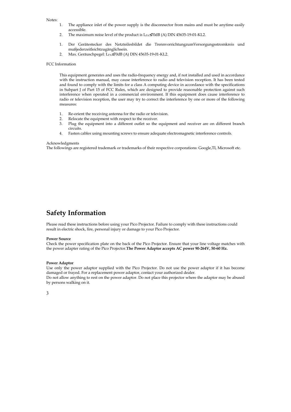#### Notes:

- 1. The appliance inlet of the power supply is the disconnector from mains and must be anytime easily accessible.
- 2. The maximum noise level of the product is L<sub>PA</sub>≤70dB (A) DIN 45635-19-01-KL2.
- 1. Der Gerätestecker des Netzteilesbildet die TrennvorrichtungzumVersorgungsstromkreis und mußjederzeitleichtzugänglichsein.
- 2. Max. Geräuschpegel: LPA≤70dB (A) DIN 45635-19-01-KL2.

#### FCC Information

This equipment generates and uses the radio-frequency energy and, if not installed and used in accordance with the instruction manual, may cause interference to radio and television reception. It has been tested and found to comply with the limits for a class A computing device in accordance with the specifications in Subpart J of Part 15 of FCC Rules, which are designed to provide reasonable protection against such interference when operated in a commercial environment. If this equipment does cause interference to radio or television reception, the user may try to correct the interference by one or more of the following measures:

- 1. Re-orient the receiving antenna for the radio or television.
- 2. Relocate the equipment with respect to the receiver.
- 3. Plug the equipment into a different outlet so the equipment and receiver are on different branch circuits.
- 4. Fasten cables using mounting screws to ensure adequate electromagnetic interference controls.

#### Acknowledgments

The followings are registered trademark or trademarks of their respective corporations: Google,TI, Microsoft etc.

### **Safety Information**

Please read these instructions before using your Pico Projector. Failure to comply with these instructions could result in electric shock, fire, personal injury or damage to your Pico Projector.

#### **Power Source**

Check the power specification plate on the back of the Pico Projector. Ensure that your line voltage matches with the power adapter rating of the Pico Projector.**The Power Adaptor accepts AC power 90-264V, 50-60 Hz.**

#### **Power Adaptor**

Use only the power adaptor supplied with the Pico Projector. Do not use the power adaptor if it has become damaged or frayed. For a replacement power adaptor, contact your authorized dealer. Do not allow anything to rest on the power adaptor. Do not place this projector where the adaptor may be abused by persons walking on it.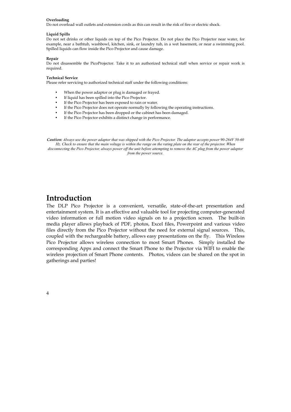#### **Overloading**

Do not overload wall outlets and extension cords as this can result in the risk of fire or electric shock.

#### **Liquid Spills**

Do not set drinks or other liquids on top of the Pico Projector. Do not place the Pico Projector near water, for example, near a bathtub, washbowl, kitchen, sink, or laundry tub, in a wet basement, or near a swimming pool. Spilled liquids can flow inside the Pico Projector and cause damage.

#### **Repair**

Do not disassemble the PicoProjector. Take it to an authorized technical staff when service or repair work is required.

#### **Technical Service**

Please refer servicing to authorized technical staff under the following conditions:

- When the power adaptor or plug is damaged or frayed.
- If liquid has been spilled into the Pico Projector.
- If the Pico Projector has been exposed to rain or water.
- If the Pico Projector does not operate normally by following the operating instructions.
- If the Pico Projector has been dropped or the cabinet has been damaged.
- If the Pico Projector exhibits a distinct change in performance.

*Caution: Always use the power adaptor that was shipped with the Pico Projector. The adaptor accepts power 90-264V 50-60 Hz. Check to ensure that the main voltage is within the range on the rating plate on the rear of the projector. When disconnecting the Pico Projector, always power off the unit before attempting to remove the AC plug from the power adaptor from the power source.*

#### **Introduction**

The DLP Pico Projector is a convenient, versatile, state-of-the-art presentation and entertainment system. It is an effective and valuable tool for projecting computer-generated video information or full motion video signals on to a projection screen. The built-in media player allows playback of PDF, photos, Excel files, Powerpoint and various video files directly from the Pico Projector without the need for external signal sources. This, coupled with the rechargeable battery, allows easy presentations on the fly. This Wireless Pico Projector allows wireless connection to most Smart Phones. Simply installed the corresponding Apps and connect the Smart Phone to the Projector via WIFI to enable the wireless projection of Smart Phone contents. Photos, videos can be shared on the spot in gatherings and parties!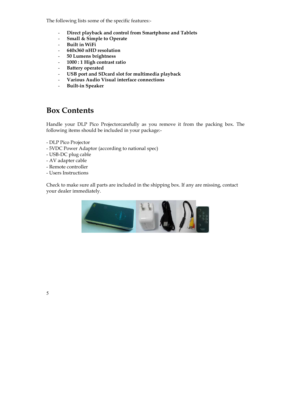The following lists some of the specific features:-

- **Direct playback and control from Smartphone and Tablets**
- **Small & Simple to Operate**
- **Built in WiFi**
- **640x360 nHD resolution**
- **50 Lumens brightness**
- **1000 : 1 High contrast ratio**
- **Battery operated**
- **USB port and SDcard slot for multimedia playback**
- **Various Audio Visual interface connections**
- **Built-in Speaker**

### **Box Contents**

Handle your DLP Pico Projectorcarefully as you remove it from the packing box. The following items should be included in your package:-

- DLP Pico Projector
- 5VDC Power Adaptor (according to national spec)
- USB-DC plug cable
- AV adapter cable
- Remote controller
- Users Instructions

Check to make sure all parts are included in the shipping box. If any are missing, contact your dealer immediately.

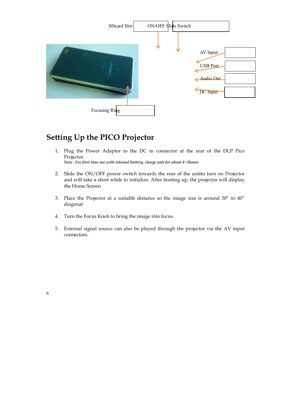

### **Setting Up the PICO Projector**

- 1. Plug the Power Adaptor to the DC in connector at the rear of the DLP Pico Projector. *Note : For first time use with internal battery, charge unit for about 4~5hours*
- 2. Slide the ON/OFF power switch towards the rear of the unitto turn on Projector and will take a short while to initialize. After booting up, the projector will display the Home Screen
- 3. Place the Projector at a suitable distance so the image size is around 30" to 40" diagonal
- 4. Turn the Focus Knob to bring the image into focus.
- 5. External signal source can also be played through the projector via the AV input connectors.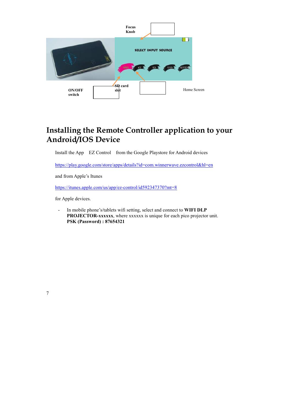

## **Installing the Remote Controller application to your Android/IOS Device**

Install the App EZ Control from the Google Playstore for Android devices

https://play.google.com/store/apps/details?id=com.winnerwave.ezcontrol&hl=en

and from Apple's Itunes

https://itunes.apple.com/us/app/ez-control/id592347370?mt=8

for Apple devices.

- In mobile phone's/tablets wifi setting, select and connect to **WIFI DLP PROJECTOR-xxxxxx**, where xxxxxx is unique for each pico projector unit. **PSK (Password) : 87654321**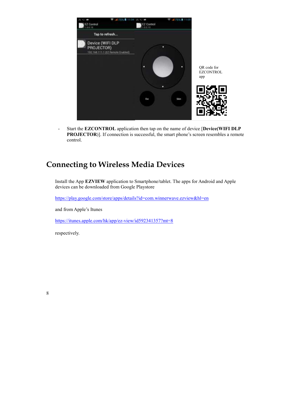

- Start the **EZCONTROL** application then tap on the name of device [**Device(WIFI DLP**  PROJECTOR)]. If connection is successful, the smart phone's screen resembles a remote control.

## **Connecting to Wireless Media Devices**

Install the App **EZVIEW** application to Smartphone/tablet. The apps for Android and Apple devices can be downloaded from Google Playstore

https://play.google.com/store/apps/details?id=com.winnerwave.ezview&hl=en

and from Apple's Itunes

https://itunes.apple.com/hk/app/ez-view/id592341357?mt=8

respectively.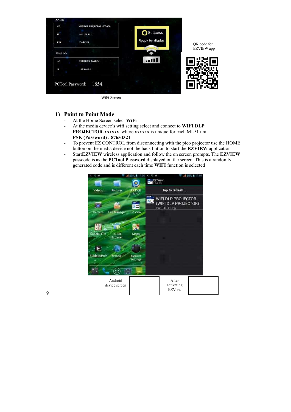

WiFi Screen

#### **1) Point to Point Mode**

- At the Home Screen select **WiFi**
- At the media device's wifi setting select and connect to **WIFI DLP PROJECTOR-xxxxxx**, where xxxxxx is unique for each ML51 unit. **PSK (Password) : 87654321**
- To prevent EZ CONTROL from disconnecting with the pico projector use the HOME button on the media device not the back button to start the **EZVIEW** application
- Start**EZVIEW** wireless application and follow the on screen prompts. The **EZVIEW** passcode is as the **PCTool Password** displayed on the screen. This is a randomly generated code and is different each time **WIFI** function is selected

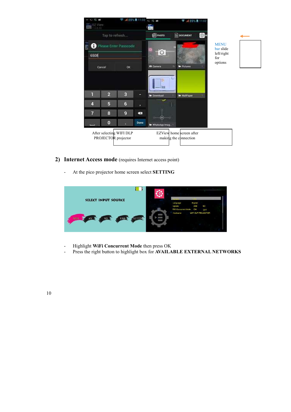

- **2) Internet Access mode** (requires Internet access point)
	- At the pico projector home screen select **SETTING**



- Highlight **WiFi Concurrent Mode** then press OK
- Press the right button to highlight box for **AVAILABLE EXTERNAL NETWORKS**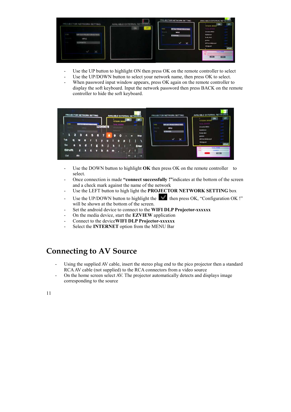

- Use the UP button to highlight ON then press OK on the remote controller to select
- Use the UP/DOWN button to select your network name, then press OK to select.
- When password input window appears, press OK again on the remote controller to display the soft keyboard. Input the network password then press BACK on the remote controller to hide the soft keyboard.



- Use the DOWN button to highlight **OK** then press OK on the remote controller to select.
- Once connection is made **"connect successfully !"**indicates at the bottom of the screen and a check mark against the name of the network
- Use the LEFT button to high light the **PROJECTOR NETWORK SETTING** box
- Use the UP/DOWN button to highlight the  $\blacksquare$  then press OK, "Configuration OK !" will be shown at the bottom of the screen.
- Set the android device to connect to the WIFI DLP Projector-xxxxxx
- On the media device, start the **EZVIEW** application
- Connect to the device WIFI DLP Projector-xxxxxx
- Select the **INTERNET** option from the MENU Bar

## **Connecting to AV Source**

- Using the supplied AV cable, insert the stereo plug end to the pico projector then a standard RCA AV cable (not supplied) to the RCA connectors from a video source
- On the home screen select AV. The projector automatically detects and displays image corresponding to the source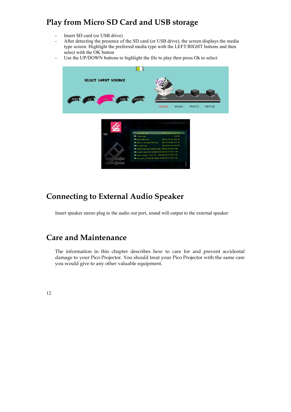## **Play from Micro SD Card and USB storage**

- Insert SD card (or USB drive)
- After detecting the presence of the SD card (or USB drive), the screen displays the media type screen. Highlight the preferred media type with the LEFT/RIGHT buttons and then select with the OK button
- Use the UP/DOWN buttons to highlight the file to play then press Ok to select



## **Connecting to External Audio Speaker**

Insert speaker stereo plug to the audio out port, sound will output to the external speaker

### **Care and Maintenance**

The information in this chapter describes how to care for and prevent accidental damage to your Pico Projector. You should treat your Pico Projector with the same care you would give to any other valuable equipment.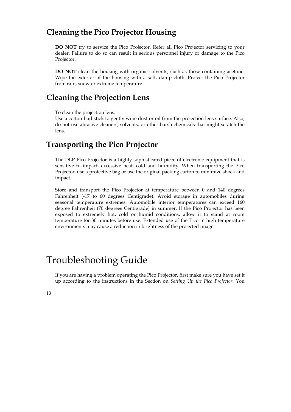### **Cleaning the Pico Projector Housing**

**DO NOT** try to service the Pico Projector. Refer all Pico Projector servicing to your dealer. Failure to do so can result in serious personnel injury or damage to the Pico Projector.

**DO NOT** clean the housing with organic solvents, such as those containing acetone. Wipe the exterior of the housing with a soft, damp cloth. Protect the Pico Projector from rain, snow or extreme temperature.

### **Cleaning the Projection Lens**

To clean the projection lens:

Use a cotton-bud stick to gently wipe dust or oil from the projection lens surface. Also, do not use abrasive cleaners, solvents, or other harsh chemicals that might scratch the lens.

### **Transporting the Pico Projector**

The DLP Pico Projector is a highly sophisticated piece of electronic equipment that is sensitive to impact, excessive heat, cold and humidity. When transporting the Pico Projector, use a protective bag or use the original packing carton to minimize shock and impact.

Store and transport the Pico Projector at temperature between 0 and 140 degrees Fahrenheit (-17 to 60 degrees Centigrade). Avoid storage in automobiles during seasonal temperature extremes. Automobile interior temperatures can exceed 160 degree Fahrenheit (70 degrees Centigrade) in summer. If the Pico Projector has been exposed to extremely hot, cold or humid conditions, allow it to stand at room temperature for 30 minutes before use. Extended use of the Pico in high temperature environments may cause a reduction in brightness of the projected image.

# Troubleshooting Guide

If you are having a problem operating the Pico Projector, first make sure you have set it up according to the instructions in the Section on *Setting Up the Pico Projector*. You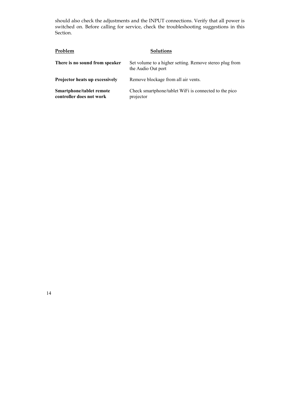should also check the adjustments and the INPUT connections. Verify that all power is switched on. Before calling for service, check the troubleshooting suggestions in this Section.

| Problem                                              | <b>Solutions</b>                                                              |
|------------------------------------------------------|-------------------------------------------------------------------------------|
| There is no sound from speaker                       | Set volume to a higher setting. Remove stereo plug from<br>the Audio Out port |
| Projector heats up excessively                       | Remove blockage from all air vents.                                           |
| Smartphone/tablet remote<br>controller does not work | Check smartphone/tablet WiFi is connected to the pico<br>projector            |